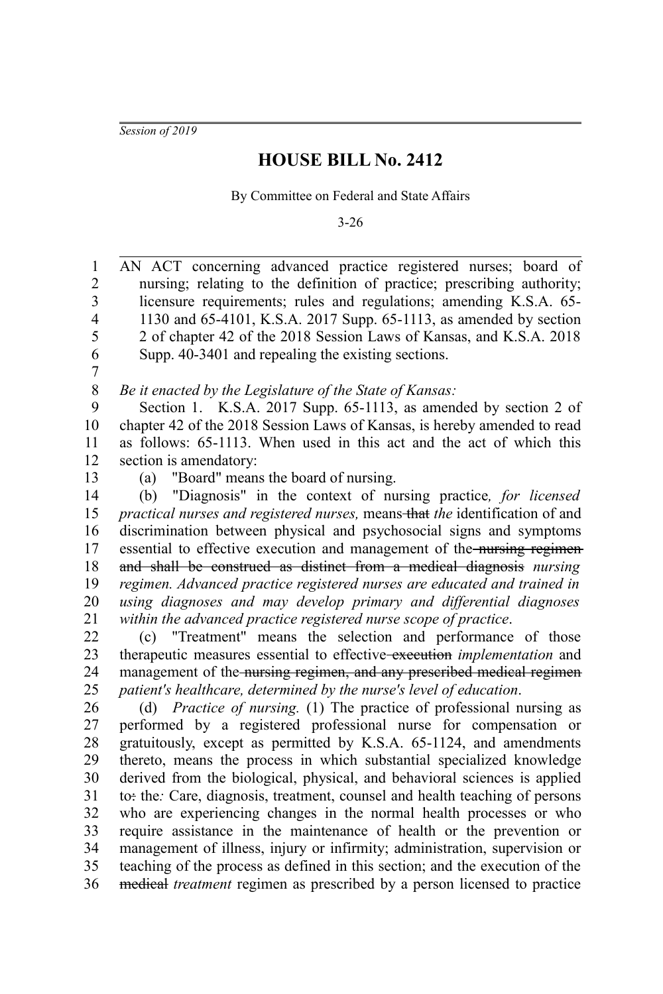*Session of 2019*

## **HOUSE BILL No. 2412**

By Committee on Federal and State Affairs

3-26

AN ACT concerning advanced practice registered nurses; board of nursing; relating to the definition of practice; prescribing authority; licensure requirements; rules and regulations; amending K.S.A. 65- 1130 and 65-4101, K.S.A. 2017 Supp. 65-1113, as amended by section 2 of chapter 42 of the 2018 Session Laws of Kansas, and K.S.A. 2018 Supp. 40-3401 and repealing the existing sections. *Be it enacted by the Legislature of the State of Kansas:* Section 1. K.S.A. 2017 Supp. 65-1113, as amended by section 2 of chapter 42 of the 2018 Session Laws of Kansas, is hereby amended to read as follows: 65-1113. When used in this act and the act of which this section is amendatory: (a) "Board" means the board of nursing. (b) "Diagnosis" in the context of nursing practice*, for licensed practical nurses and registered nurses, means-that the identification of and* discrimination between physical and psychosocial signs and symptoms essential to effective execution and management of the nursing regimenand shall be construed as distinct from a medical diagnosis *nursing regimen. Advanced practice registered nurses are educated and trained in using diagnoses and may develop primary and differential diagnoses within the advanced practice registered nurse scope of practice*. (c) "Treatment" means the selection and performance of those therapeutic measures essential to effective execution *implementation* and management of the nursing regimen, and any prescribed medical regimen *patient's healthcare, determined by the nurse's level of education*. (d) *Practice of nursing.* (1) The practice of professional nursing as performed by a registered professional nurse for compensation or gratuitously, except as permitted by K.S.A. 65-1124, and amendments thereto, means the process in which substantial specialized knowledge derived from the biological, physical, and behavioral sciences is applied to: the*:* Care, diagnosis, treatment, counsel and health teaching of persons who are experiencing changes in the normal health processes or who require assistance in the maintenance of health or the prevention or management of illness, injury or infirmity; administration, supervision or teaching of the process as defined in this section; and the execution of the medical *treatment* regimen as prescribed by a person licensed to practice 1 2 3 4 5 6 7 8 9 10 11 12 13 14 15 16 17 18 19 20 21 22 23 24 25 26 27 28 29 30 31 32 33 34 35 36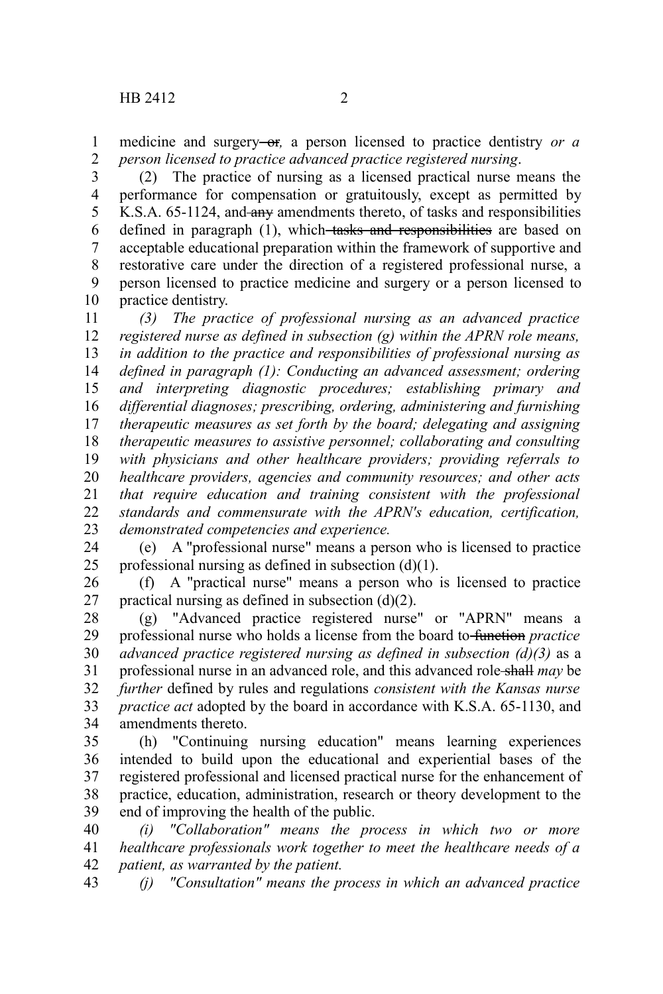medicine and surgery-or, a person licensed to practice dentistry *or a person licensed to practice advanced practice registered nursing*. 1 2

(2) The practice of nursing as a licensed practical nurse means the performance for compensation or gratuitously, except as permitted by K.S.A. 65-1124, and any amendments thereto, of tasks and responsibilities defined in paragraph (1), which tasks and responsibilities are based on acceptable educational preparation within the framework of supportive and restorative care under the direction of a registered professional nurse, a person licensed to practice medicine and surgery or a person licensed to practice dentistry. 3 4 5 6 7 8 9 10

*(3) The practice of professional nursing as an advanced practice registered nurse as defined in subsection (g) within the APRN role means, in addition to the practice and responsibilities of professional nursing as defined in paragraph (1): Conducting an advanced assessment; ordering and interpreting diagnostic procedures; establishing primary and differential diagnoses; prescribing, ordering, administering and furnishing therapeutic measures as set forth by the board; delegating and assigning therapeutic measures to assistive personnel; collaborating and consulting with physicians and other healthcare providers; providing referrals to healthcare providers, agencies and community resources; and other acts that require education and training consistent with the professional standards and commensurate with the APRN's education, certification, demonstrated competencies and experience.* 11 12 13 14 15 16 17 18 19 20 21 22 23

(e) A "professional nurse" means a person who is licensed to practice professional nursing as defined in subsection (d)(1). 24 25

(f) A "practical nurse" means a person who is licensed to practice practical nursing as defined in subsection  $(d)(2)$ . 26 27

(g) "Advanced practice registered nurse" or "APRN" means a professional nurse who holds a license from the board to function *practice advanced practice registered nursing as defined in subsection (d)(3)* as a professional nurse in an advanced role, and this advanced role shall *may* be *further* defined by rules and regulations *consistent with the Kansas nurse practice act* adopted by the board in accordance with K.S.A. 65-1130, and amendments thereto. 28 29 30 31 32 33 34

(h) "Continuing nursing education" means learning experiences intended to build upon the educational and experiential bases of the registered professional and licensed practical nurse for the enhancement of practice, education, administration, research or theory development to the end of improving the health of the public. 35 36 37 38 39

*(i) "Collaboration" means the process in which two or more healthcare professionals work together to meet the healthcare needs of a patient, as warranted by the patient.* 40 41 42

*(j) "Consultation" means the process in which an advanced practice* 43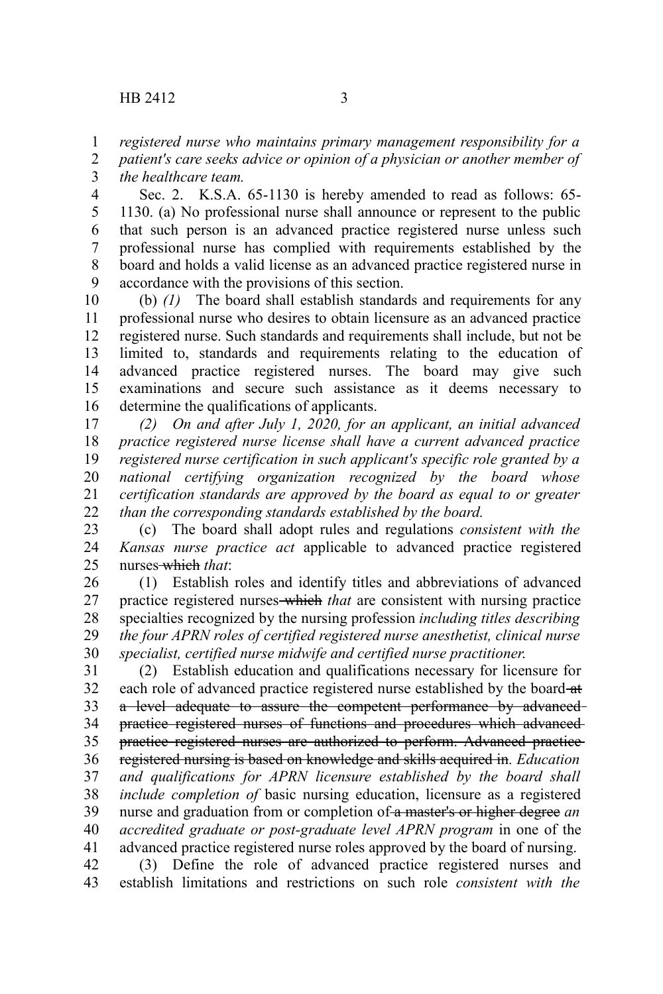*registered nurse who maintains primary management responsibility for a* 1

*patient's care seeks advice or opinion of a physician or another member of the healthcare team.* 2 3

Sec. 2. K.S.A. 65-1130 is hereby amended to read as follows: 65- 1130. (a) No professional nurse shall announce or represent to the public that such person is an advanced practice registered nurse unless such professional nurse has complied with requirements established by the board and holds a valid license as an advanced practice registered nurse in accordance with the provisions of this section. 4 5 6 7 8 9

(b) *(1)* The board shall establish standards and requirements for any professional nurse who desires to obtain licensure as an advanced practice registered nurse. Such standards and requirements shall include, but not be limited to, standards and requirements relating to the education of advanced practice registered nurses. The board may give such examinations and secure such assistance as it deems necessary to determine the qualifications of applicants. 10 11 12 13 14 15 16

*(2) On and after July 1, 2020, for an applicant, an initial advanced practice registered nurse license shall have a current advanced practice registered nurse certification in such applicant's specific role granted by a national certifying organization recognized by the board whose certification standards are approved by the board as equal to or greater than the corresponding standards established by the board.* 17 18 19 20 21 22

(c) The board shall adopt rules and regulations *consistent with the Kansas nurse practice act* applicable to advanced practice registered nurses which *that*: 23 24 25

(1) Establish roles and identify titles and abbreviations of advanced practice registered nurses which *that* are consistent with nursing practice specialties recognized by the nursing profession *including titles describing the four APRN roles of certified registered nurse anesthetist, clinical nurse specialist, certified nurse midwife and certified nurse practitioner*. 26 27 28 29 30

(2) Establish education and qualifications necessary for licensure for each role of advanced practice registered nurse established by the board-at a level adequate to assure the competent performance by advancedpractice registered nurses of functions and procedures which advanced practice registered nurses are authorized to perform. Advanced practice registered nursing is based on knowledge and skills acquired in*. Education and qualifications for APRN licensure established by the board shall include completion of* basic nursing education, licensure as a registered nurse and graduation from or completion of a master's or higher degree *an accredited graduate or post-graduate level APRN program* in one of the advanced practice registered nurse roles approved by the board of nursing. (3) Define the role of advanced practice registered nurses and 31 32 33 34 35 36 37 38 39 40 41 42

establish limitations and restrictions on such role *consistent with the* 43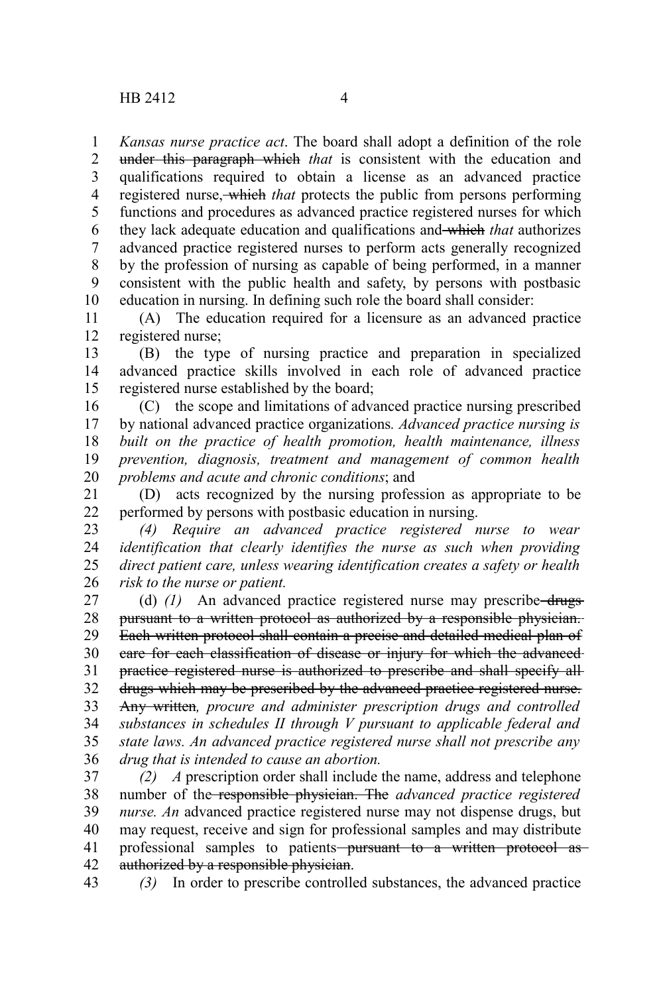*Kansas nurse practice act*. The board shall adopt a definition of the role under this paragraph which *that* is consistent with the education and qualifications required to obtain a license as an advanced practice registered nurse, which *that* protects the public from persons performing functions and procedures as advanced practice registered nurses for which they lack adequate education and qualifications and which *that* authorizes advanced practice registered nurses to perform acts generally recognized by the profession of nursing as capable of being performed, in a manner consistent with the public health and safety, by persons with postbasic education in nursing. In defining such role the board shall consider: 1 2 3 4 5 6 7 8 9 10

(A) The education required for a licensure as an advanced practice registered nurse; 11 12

(B) the type of nursing practice and preparation in specialized advanced practice skills involved in each role of advanced practice registered nurse established by the board; 13 14 15

(C) the scope and limitations of advanced practice nursing prescribed by national advanced practice organizations*. Advanced practice nursing is built on the practice of health promotion, health maintenance, illness prevention, diagnosis, treatment and management of common health problems and acute and chronic conditions*; and 16 17 18 19 20

(D) acts recognized by the nursing profession as appropriate to be performed by persons with postbasic education in nursing. 21 22

*(4) Require an advanced practice registered nurse to wear identification that clearly identifies the nurse as such when providing direct patient care, unless wearing identification creates a safety or health risk to the nurse or patient.* 23 24 25 26

(d) (1) An advanced practice registered nurse may prescribe drugs pursuant to a written protocol as authorized by a responsible physician. Each written protocol shall contain a precise and detailed medical plan of care for each classification of disease or injury for which the advanced practice registered nurse is authorized to prescribe and shall specify all drugs which may be prescribed by the advanced practice registered nurse. Any written*, procure and administer prescription drugs and controlled substances in schedules II through V pursuant to applicable federal and state laws. An advanced practice registered nurse shall not prescribe any drug that is intended to cause an abortion.* 27 28 29 30 31 32 33 34 35 36

*(2) A* prescription order shall include the name, address and telephone number of the responsible physician. The *advanced practice registered nurse. An* advanced practice registered nurse may not dispense drugs, but may request, receive and sign for professional samples and may distribute professional samples to patients<del> pursuant to a written protocol as</del> authorized by a responsible physician. 37 38 39 40 41 42

43

*(3)* In order to prescribe controlled substances, the advanced practice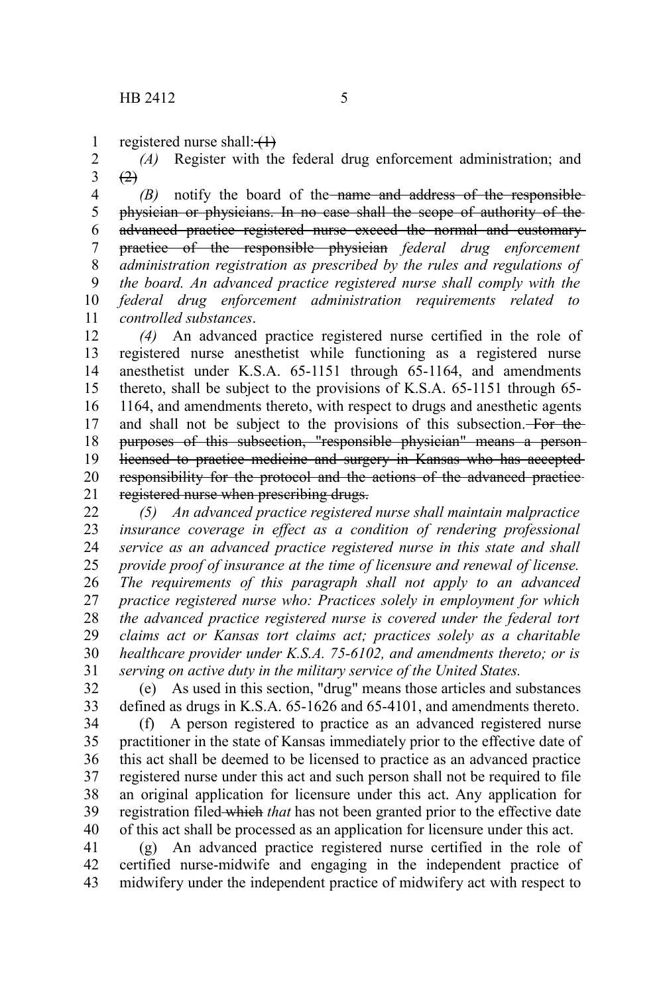registered nurse shall: $\left\langle \downarrow \right\rangle$ 1

*(A)* Register with the federal drug enforcement administration; and  $(2)$ 2 3

*(B)* notify the board of the name and address of the responsible physician or physicians. In no case shall the scope of authority of the advanced practice registered nurse exceed the normal and customary practice of the responsible physician *federal drug enforcement administration registration as prescribed by the rules and regulations of the board. An advanced practice registered nurse shall comply with the federal drug enforcement administration requirements related to controlled substances*. 4 5 6 7 8 9 10 11

*(4)* An advanced practice registered nurse certified in the role of registered nurse anesthetist while functioning as a registered nurse anesthetist under K.S.A. 65-1151 through 65-1164, and amendments thereto, shall be subject to the provisions of K.S.A. 65-1151 through 65- 1164, and amendments thereto, with respect to drugs and anesthetic agents and shall not be subject to the provisions of this subsection. For the purposes of this subsection, "responsible physician" means a person licensed to practice medicine and surgery in Kansas who has accepted responsibility for the protocol and the actions of the advanced practice registered nurse when prescribing drugs. 12 13 14 15 16 17 18 19 20 21

*(5) An advanced practice registered nurse shall maintain malpractice insurance coverage in effect as a condition of rendering professional service as an advanced practice registered nurse in this state and shall provide proof of insurance at the time of licensure and renewal of license. The requirements of this paragraph shall not apply to an advanced practice registered nurse who: Practices solely in employment for which the advanced practice registered nurse is covered under the federal tort claims act or Kansas tort claims act; practices solely as a charitable healthcare provider under K.S.A. 75-6102, and amendments thereto; or is serving on active duty in the military service of the United States.* 22 23 24 25 26 27 28 29 30 31

(e) As used in this section, "drug" means those articles and substances defined as drugs in K.S.A. 65-1626 and 65-4101, and amendments thereto. 32 33

(f) A person registered to practice as an advanced registered nurse practitioner in the state of Kansas immediately prior to the effective date of this act shall be deemed to be licensed to practice as an advanced practice registered nurse under this act and such person shall not be required to file an original application for licensure under this act. Any application for registration filed-which that has not been granted prior to the effective date of this act shall be processed as an application for licensure under this act. 34 35 36 37 38 39 40

(g) An advanced practice registered nurse certified in the role of certified nurse-midwife and engaging in the independent practice of midwifery under the independent practice of midwifery act with respect to 41 42 43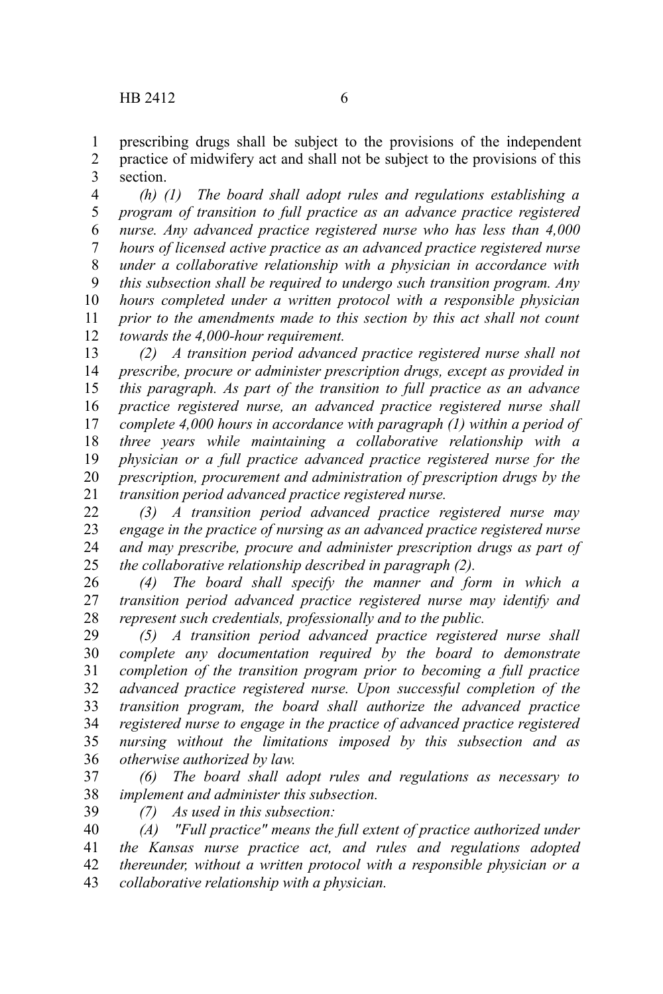prescribing drugs shall be subject to the provisions of the independent practice of midwifery act and shall not be subject to the provisions of this section. 1 2 3

*(h) (1) The board shall adopt rules and regulations establishing a program of transition to full practice as an advance practice registered nurse. Any advanced practice registered nurse who has less than 4,000 hours of licensed active practice as an advanced practice registered nurse under a collaborative relationship with a physician in accordance with this subsection shall be required to undergo such transition program. Any hours completed under a written protocol with a responsible physician prior to the amendments made to this section by this act shall not count towards the 4,000-hour requirement.* 4 5 6 7 8 9 10 11 12

*(2) A transition period advanced practice registered nurse shall not prescribe, procure or administer prescription drugs, except as provided in this paragraph. As part of the transition to full practice as an advance practice registered nurse, an advanced practice registered nurse shall complete 4,000 hours in accordance with paragraph (1) within a period of three years while maintaining a collaborative relationship with a physician or a full practice advanced practice registered nurse for the prescription, procurement and administration of prescription drugs by the transition period advanced practice registered nurse.* 13 14 15 16 17 18 19 20 21

*(3) A transition period advanced practice registered nurse may engage in the practice of nursing as an advanced practice registered nurse and may prescribe, procure and administer prescription drugs as part of the collaborative relationship described in paragraph (2).* 22 23 24 25

*(4) The board shall specify the manner and form in which a transition period advanced practice registered nurse may identify and represent such credentials, professionally and to the public.* 26 27 28

*(5) A transition period advanced practice registered nurse shall complete any documentation required by the board to demonstrate completion of the transition program prior to becoming a full practice advanced practice registered nurse. Upon successful completion of the transition program, the board shall authorize the advanced practice registered nurse to engage in the practice of advanced practice registered nursing without the limitations imposed by this subsection and as otherwise authorized by law.* 29 30 31 32 33 34 35 36

*(6) The board shall adopt rules and regulations as necessary to implement and administer this subsection.* 37 38

39

*(7) As used in this subsection:*

*(A) "Full practice" means the full extent of practice authorized under the Kansas nurse practice act, and rules and regulations adopted thereunder, without a written protocol with a responsible physician or a collaborative relationship with a physician.* 40 41 42 43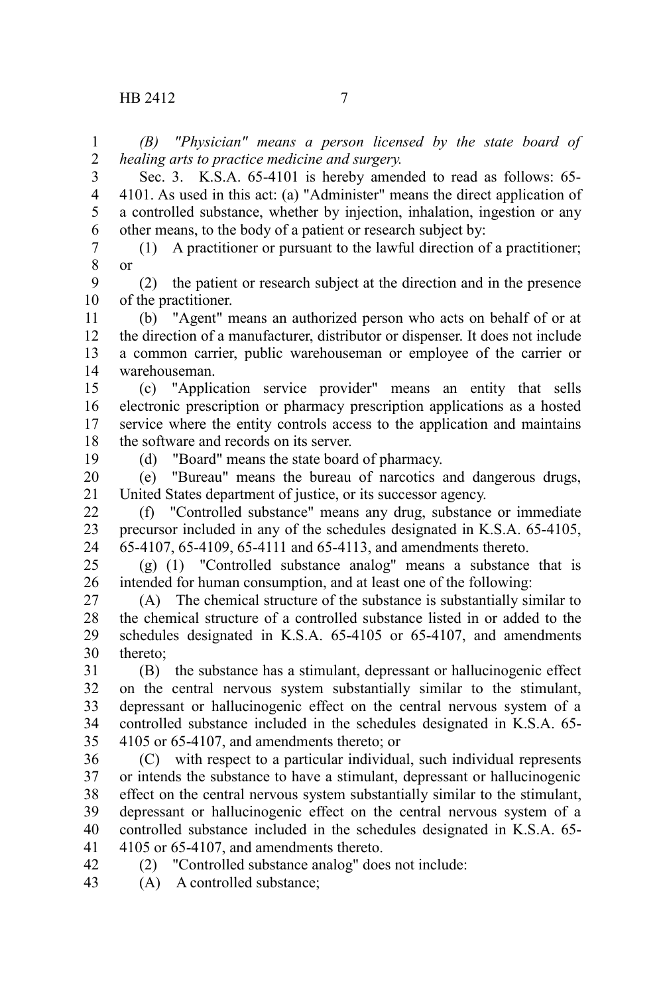*(B) "Physician" means a person licensed by the state board of healing arts to practice medicine and surgery.* 1 2

Sec. 3. K.S.A. 65-4101 is hereby amended to read as follows: 65- 4101. As used in this act: (a) "Administer" means the direct application of a controlled substance, whether by injection, inhalation, ingestion or any other means, to the body of a patient or research subject by: 3 4 5 6

(1) A practitioner or pursuant to the lawful direction of a practitioner; or 7 8

(2) the patient or research subject at the direction and in the presence of the practitioner. 9 10

(b) "Agent" means an authorized person who acts on behalf of or at the direction of a manufacturer, distributor or dispenser. It does not include a common carrier, public warehouseman or employee of the carrier or warehouseman. 11 12 13 14

(c) "Application service provider" means an entity that sells electronic prescription or pharmacy prescription applications as a hosted service where the entity controls access to the application and maintains the software and records on its server. 15 16 17 18

19

(d) "Board" means the state board of pharmacy.

(e) "Bureau" means the bureau of narcotics and dangerous drugs, United States department of justice, or its successor agency. 20 21

(f) "Controlled substance" means any drug, substance or immediate precursor included in any of the schedules designated in K.S.A. 65-4105, 65-4107, 65-4109, 65-4111 and 65-4113, and amendments thereto. 22 23 24

(g) (1) "Controlled substance analog" means a substance that is intended for human consumption, and at least one of the following: 25 26

(A) The chemical structure of the substance is substantially similar to the chemical structure of a controlled substance listed in or added to the schedules designated in K.S.A. 65-4105 or 65-4107, and amendments thereto; 27 28 29 30

(B) the substance has a stimulant, depressant or hallucinogenic effect on the central nervous system substantially similar to the stimulant, depressant or hallucinogenic effect on the central nervous system of a controlled substance included in the schedules designated in K.S.A. 65- 4105 or 65-4107, and amendments thereto; or 31 32 33 34 35

(C) with respect to a particular individual, such individual represents or intends the substance to have a stimulant, depressant or hallucinogenic effect on the central nervous system substantially similar to the stimulant, depressant or hallucinogenic effect on the central nervous system of a controlled substance included in the schedules designated in K.S.A. 65- 4105 or 65-4107, and amendments thereto. 36 37 38 39 40 41

(2) "Controlled substance analog" does not include: 42

(A) A controlled substance; 43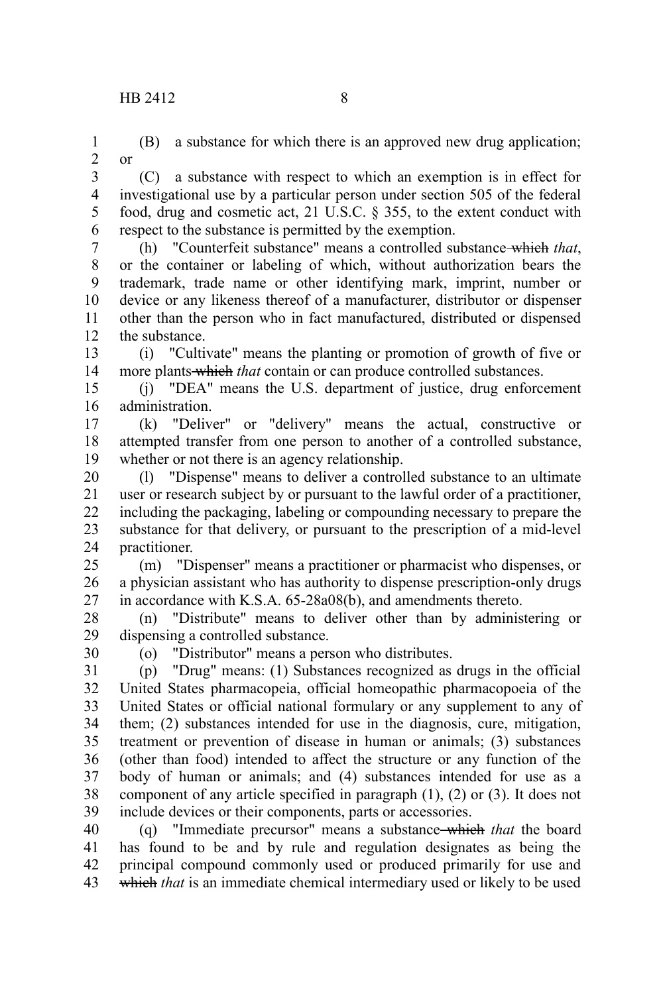1 2

or

(B) a substance for which there is an approved new drug application;

(C) a substance with respect to which an exemption is in effect for investigational use by a particular person under section 505 of the federal food, drug and cosmetic act, 21 U.S.C. § 355, to the extent conduct with respect to the substance is permitted by the exemption. 3 4 5 6

(h) "Counterfeit substance" means a controlled substance which *that*, or the container or labeling of which, without authorization bears the trademark, trade name or other identifying mark, imprint, number or device or any likeness thereof of a manufacturer, distributor or dispenser other than the person who in fact manufactured, distributed or dispensed the substance. 7 8 9 10 11 12

(i) "Cultivate" means the planting or promotion of growth of five or more plants which *that* contain or can produce controlled substances. 13 14

(j) "DEA" means the U.S. department of justice, drug enforcement administration. 15 16

(k) "Deliver" or "delivery" means the actual, constructive or attempted transfer from one person to another of a controlled substance, whether or not there is an agency relationship. 17 18 19

(l) "Dispense" means to deliver a controlled substance to an ultimate user or research subject by or pursuant to the lawful order of a practitioner, including the packaging, labeling or compounding necessary to prepare the substance for that delivery, or pursuant to the prescription of a mid-level practitioner. 20 21 22 23 24

(m) "Dispenser" means a practitioner or pharmacist who dispenses, or a physician assistant who has authority to dispense prescription-only drugs in accordance with K.S.A. 65-28a08(b), and amendments thereto. 25 26 27

(n) "Distribute" means to deliver other than by administering or dispensing a controlled substance. 28 29

30

(o) "Distributor" means a person who distributes.

(p) "Drug" means: (1) Substances recognized as drugs in the official United States pharmacopeia, official homeopathic pharmacopoeia of the United States or official national formulary or any supplement to any of them; (2) substances intended for use in the diagnosis, cure, mitigation, treatment or prevention of disease in human or animals; (3) substances (other than food) intended to affect the structure or any function of the body of human or animals; and (4) substances intended for use as a component of any article specified in paragraph (1), (2) or (3). It does not include devices or their components, parts or accessories. 31 32 33 34 35 36 37 38 39

(q) "Immediate precursor" means a substance which *that* the board has found to be and by rule and regulation designates as being the principal compound commonly used or produced primarily for use and which *that* is an immediate chemical intermediary used or likely to be used 40 41 42 43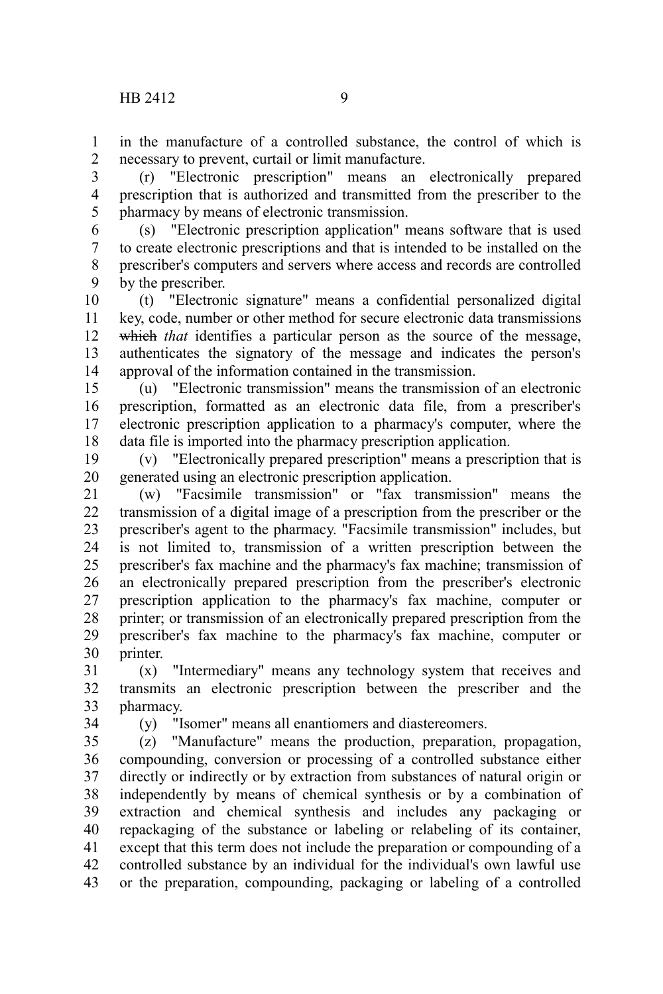in the manufacture of a controlled substance, the control of which is necessary to prevent, curtail or limit manufacture. 1 2

(r) "Electronic prescription" means an electronically prepared prescription that is authorized and transmitted from the prescriber to the pharmacy by means of electronic transmission. 3 4 5

(s) "Electronic prescription application" means software that is used to create electronic prescriptions and that is intended to be installed on the prescriber's computers and servers where access and records are controlled by the prescriber. 6 7 8 9

(t) "Electronic signature" means a confidential personalized digital key, code, number or other method for secure electronic data transmissions which *that* identifies a particular person as the source of the message, authenticates the signatory of the message and indicates the person's approval of the information contained in the transmission. 10 11 12 13 14

(u) "Electronic transmission" means the transmission of an electronic prescription, formatted as an electronic data file, from a prescriber's electronic prescription application to a pharmacy's computer, where the data file is imported into the pharmacy prescription application. 15 16 17 18

(v) "Electronically prepared prescription" means a prescription that is generated using an electronic prescription application. 19 20

(w) "Facsimile transmission" or "fax transmission" means the transmission of a digital image of a prescription from the prescriber or the prescriber's agent to the pharmacy. "Facsimile transmission" includes, but is not limited to, transmission of a written prescription between the prescriber's fax machine and the pharmacy's fax machine; transmission of an electronically prepared prescription from the prescriber's electronic prescription application to the pharmacy's fax machine, computer or printer; or transmission of an electronically prepared prescription from the prescriber's fax machine to the pharmacy's fax machine, computer or printer. 21 22 23 24 25 26 27 28 29 30

(x) "Intermediary" means any technology system that receives and transmits an electronic prescription between the prescriber and the pharmacy. 31 32 33

34

(y) "Isomer" means all enantiomers and diastereomers.

(z) "Manufacture" means the production, preparation, propagation, compounding, conversion or processing of a controlled substance either directly or indirectly or by extraction from substances of natural origin or independently by means of chemical synthesis or by a combination of extraction and chemical synthesis and includes any packaging or repackaging of the substance or labeling or relabeling of its container, except that this term does not include the preparation or compounding of a controlled substance by an individual for the individual's own lawful use or the preparation, compounding, packaging or labeling of a controlled 35 36 37 38 39 40 41 42 43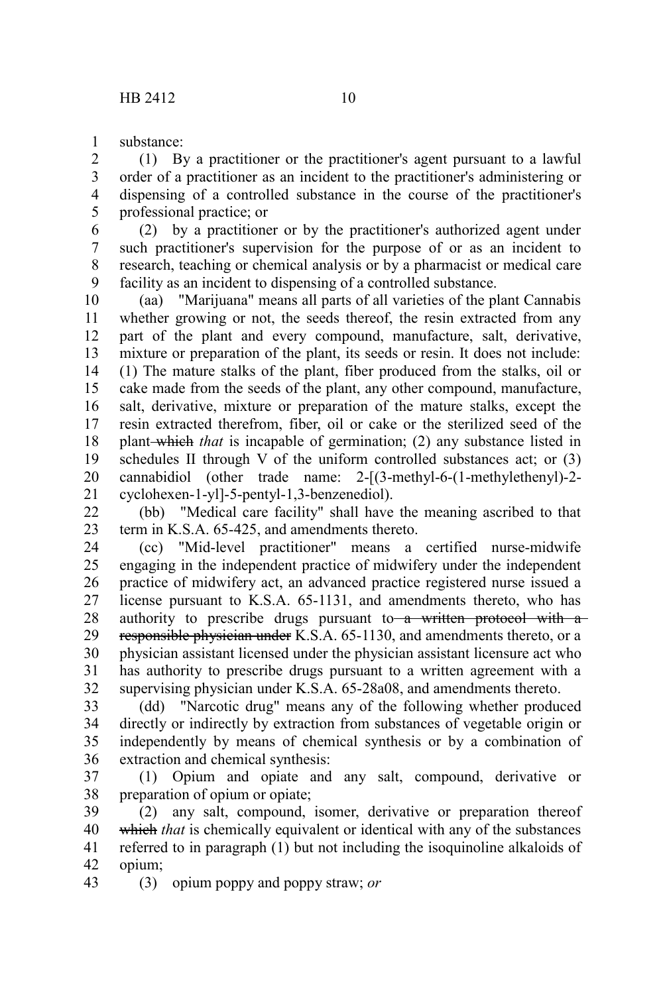substance: 1

(1) By a practitioner or the practitioner's agent pursuant to a lawful order of a practitioner as an incident to the practitioner's administering or dispensing of a controlled substance in the course of the practitioner's professional practice; or 2 3 4 5

(2) by a practitioner or by the practitioner's authorized agent under such practitioner's supervision for the purpose of or as an incident to research, teaching or chemical analysis or by a pharmacist or medical care facility as an incident to dispensing of a controlled substance. 6 7 8 9

(aa) "Marijuana" means all parts of all varieties of the plant Cannabis whether growing or not, the seeds thereof, the resin extracted from any part of the plant and every compound, manufacture, salt, derivative, mixture or preparation of the plant, its seeds or resin. It does not include: (1) The mature stalks of the plant, fiber produced from the stalks, oil or cake made from the seeds of the plant, any other compound, manufacture, salt, derivative, mixture or preparation of the mature stalks, except the resin extracted therefrom, fiber, oil or cake or the sterilized seed of the plant which *that* is incapable of germination; (2) any substance listed in schedules II through V of the uniform controlled substances act; or (3) cannabidiol (other trade name: 2-[(3-methyl-6-(1-methylethenyl)-2 cyclohexen-1-yl]-5-pentyl-1,3-benzenediol). 10 11 12 13 14 15 16 17 18 19 20 21

(bb) "Medical care facility" shall have the meaning ascribed to that term in K.S.A. 65-425, and amendments thereto. 22 23

(cc) "Mid-level practitioner" means a certified nurse-midwife engaging in the independent practice of midwifery under the independent practice of midwifery act, an advanced practice registered nurse issued a license pursuant to K.S.A. 65-1131, and amendments thereto, who has authority to prescribe drugs pursuant to  $a$  written protocol with  $a$ responsible physician under K.S.A. 65-1130, and amendments thereto, or a physician assistant licensed under the physician assistant licensure act who has authority to prescribe drugs pursuant to a written agreement with a supervising physician under K.S.A. 65-28a08, and amendments thereto. 24 25 26 27 28 29 30 31 32

(dd) "Narcotic drug" means any of the following whether produced directly or indirectly by extraction from substances of vegetable origin or independently by means of chemical synthesis or by a combination of extraction and chemical synthesis: 33 34 35 36

(1) Opium and opiate and any salt, compound, derivative or preparation of opium or opiate; 37 38

(2) any salt, compound, isomer, derivative or preparation thereof which *that* is chemically equivalent or identical with any of the substances referred to in paragraph (1) but not including the isoquinoline alkaloids of opium; 39 40 41 42

(3) opium poppy and poppy straw; *or* 43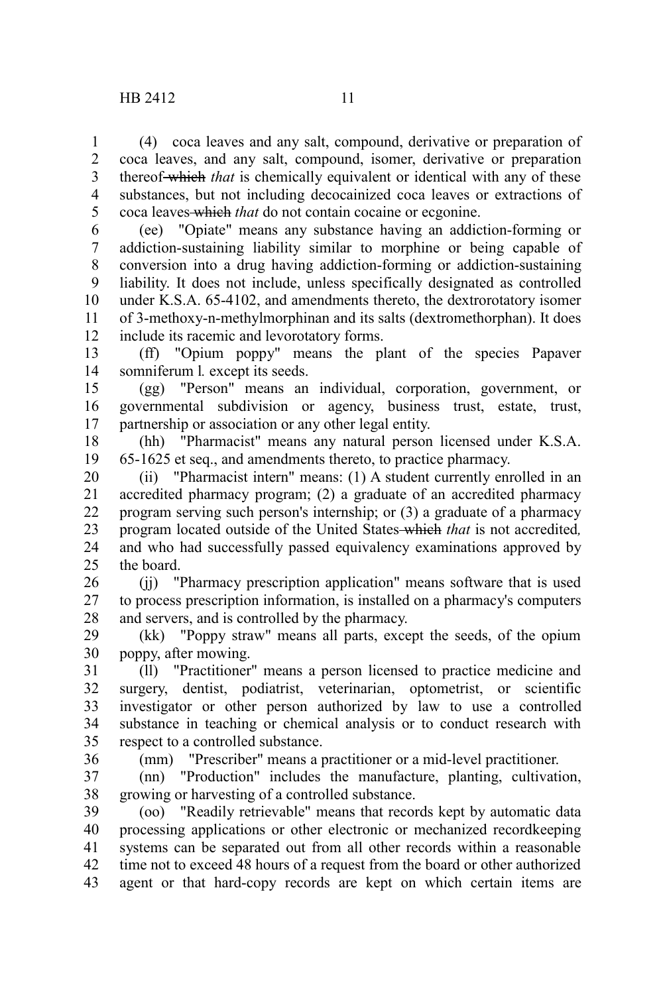(4) coca leaves and any salt, compound, derivative or preparation of coca leaves, and any salt, compound, isomer, derivative or preparation thereof which *that* is chemically equivalent or identical with any of these substances, but not including decocainized coca leaves or extractions of coca leaves which *that* do not contain cocaine or ecgonine. 1 2 3 4 5

(ee) "Opiate" means any substance having an addiction-forming or addiction-sustaining liability similar to morphine or being capable of conversion into a drug having addiction-forming or addiction-sustaining liability. It does not include, unless specifically designated as controlled under K.S.A. 65-4102, and amendments thereto, the dextrorotatory isomer of 3-methoxy-n-methylmorphinan and its salts (dextromethorphan). It does include its racemic and levorotatory forms. 6 7 8 9 10 11 12

(ff) "Opium poppy" means the plant of the species Papaver somniferum l*.* except its seeds. 13 14

(gg) "Person" means an individual, corporation, government, or governmental subdivision or agency, business trust, estate, trust, partnership or association or any other legal entity. 15 16 17

(hh) "Pharmacist" means any natural person licensed under K.S.A. 65-1625 et seq., and amendments thereto, to practice pharmacy. 18 19

(ii) "Pharmacist intern" means: (1) A student currently enrolled in an accredited pharmacy program; (2) a graduate of an accredited pharmacy program serving such person's internship; or (3) a graduate of a pharmacy program located outside of the United States which *that* is not accredited*,* and who had successfully passed equivalency examinations approved by the board. 20 21 22 23 24 25

(jj) "Pharmacy prescription application" means software that is used to process prescription information, is installed on a pharmacy's computers and servers, and is controlled by the pharmacy. 26 27 28

(kk) "Poppy straw" means all parts, except the seeds, of the opium poppy, after mowing. 29 30

(ll) "Practitioner" means a person licensed to practice medicine and surgery, dentist, podiatrist, veterinarian, optometrist, or scientific investigator or other person authorized by law to use a controlled substance in teaching or chemical analysis or to conduct research with respect to a controlled substance. 31 32 33 34 35

36

(mm) "Prescriber" means a practitioner or a mid-level practitioner.

(nn) "Production" includes the manufacture, planting, cultivation, growing or harvesting of a controlled substance. 37 38

(oo) "Readily retrievable" means that records kept by automatic data processing applications or other electronic or mechanized recordkeeping systems can be separated out from all other records within a reasonable time not to exceed 48 hours of a request from the board or other authorized agent or that hard-copy records are kept on which certain items are 39 40 41 42 43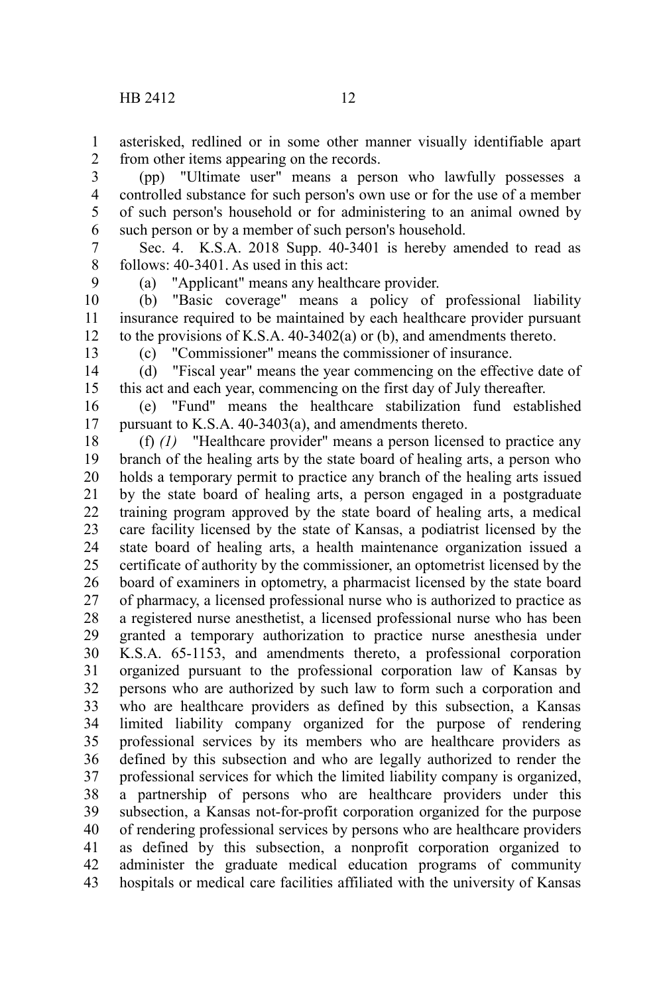asterisked, redlined or in some other manner visually identifiable apart from other items appearing on the records. 1 2

(pp) "Ultimate user" means a person who lawfully possesses a controlled substance for such person's own use or for the use of a member of such person's household or for administering to an animal owned by such person or by a member of such person's household. 3 4 5 6

Sec. 4. K.S.A. 2018 Supp. 40-3401 is hereby amended to read as follows: 40-3401. As used in this act: 7 8

9

(a) "Applicant" means any healthcare provider.

(b) "Basic coverage" means a policy of professional liability insurance required to be maintained by each healthcare provider pursuant to the provisions of K.S.A. 40-3402(a) or (b), and amendments thereto. 10 11 12

13

(c) "Commissioner" means the commissioner of insurance.

(d) "Fiscal year" means the year commencing on the effective date of this act and each year, commencing on the first day of July thereafter. 14 15

(e) "Fund" means the healthcare stabilization fund established pursuant to K.S.A. 40-3403(a), and amendments thereto. 16 17

(f) *(1)* "Healthcare provider" means a person licensed to practice any branch of the healing arts by the state board of healing arts, a person who holds a temporary permit to practice any branch of the healing arts issued by the state board of healing arts, a person engaged in a postgraduate training program approved by the state board of healing arts, a medical care facility licensed by the state of Kansas, a podiatrist licensed by the state board of healing arts, a health maintenance organization issued a certificate of authority by the commissioner, an optometrist licensed by the board of examiners in optometry, a pharmacist licensed by the state board of pharmacy, a licensed professional nurse who is authorized to practice as a registered nurse anesthetist, a licensed professional nurse who has been granted a temporary authorization to practice nurse anesthesia under K.S.A. 65-1153, and amendments thereto, a professional corporation organized pursuant to the professional corporation law of Kansas by persons who are authorized by such law to form such a corporation and who are healthcare providers as defined by this subsection, a Kansas limited liability company organized for the purpose of rendering professional services by its members who are healthcare providers as defined by this subsection and who are legally authorized to render the professional services for which the limited liability company is organized, a partnership of persons who are healthcare providers under this subsection, a Kansas not-for-profit corporation organized for the purpose of rendering professional services by persons who are healthcare providers as defined by this subsection, a nonprofit corporation organized to administer the graduate medical education programs of community hospitals or medical care facilities affiliated with the university of Kansas 18 19 20 21 22 23 24 25 26 27 28 29 30 31 32 33 34 35 36 37 38 39 40 41 42 43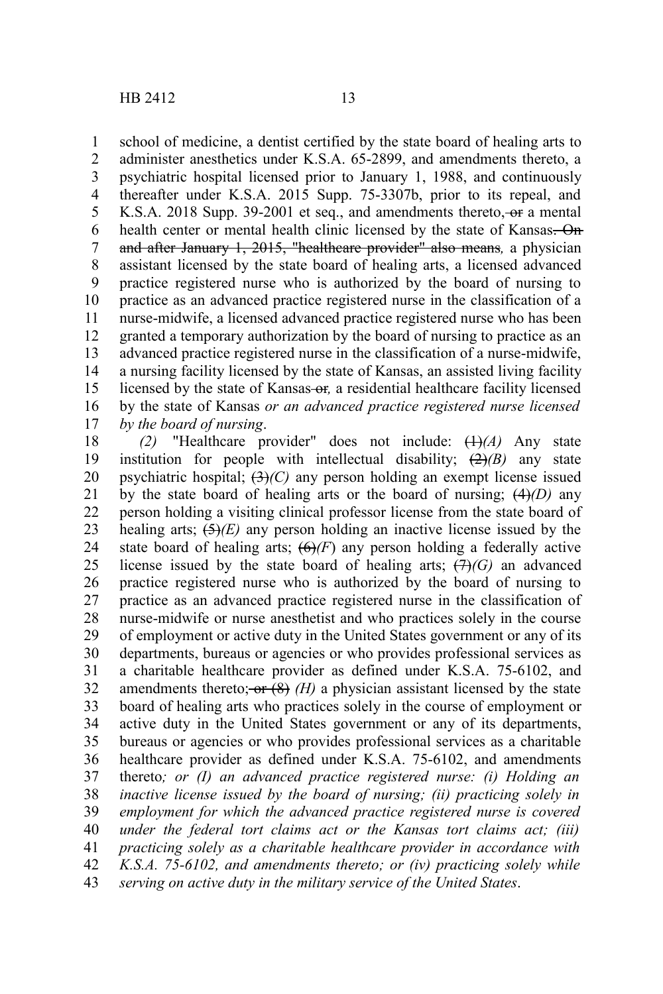school of medicine, a dentist certified by the state board of healing arts to administer anesthetics under K.S.A. 65-2899, and amendments thereto, a psychiatric hospital licensed prior to January 1, 1988, and continuously thereafter under K.S.A. 2015 Supp. 75-3307b, prior to its repeal, and K.S.A. 2018 Supp. 39-2001 et seq., and amendments thereto, or a mental health center or mental health clinic licensed by the state of Kansas. On and after January 1, 2015, "healthcare provider" also means*,* a physician assistant licensed by the state board of healing arts, a licensed advanced practice registered nurse who is authorized by the board of nursing to practice as an advanced practice registered nurse in the classification of a nurse-midwife, a licensed advanced practice registered nurse who has been granted a temporary authorization by the board of nursing to practice as an advanced practice registered nurse in the classification of a nurse-midwife, a nursing facility licensed by the state of Kansas, an assisted living facility licensed by the state of Kansas-or, a residential healthcare facility licensed by the state of Kansas *or an advanced practice registered nurse licensed by the board of nursing*. 1 2 3 4 5 6 7 8 9 10 11 12 13 14 15 16 17

*(2)* "Healthcare provider" does not include: (1)*(A)* Any state institution for people with intellectual disability;  $(2)(B)$  any state psychiatric hospital;  $\left(\frac{3}{2}\right)(C)$  any person holding an exempt license issued by the state board of healing arts or the board of nursing; (4)*(D)* any person holding a visiting clinical professor license from the state board of healing arts;  $\left(\frac{5}{2}\right)/E$  any person holding an inactive license issued by the state board of healing arts;  $(6)$ *(F)* any person holding a federally active license issued by the state board of healing arts;  $(H)(G)$  an advanced practice registered nurse who is authorized by the board of nursing to practice as an advanced practice registered nurse in the classification of nurse-midwife or nurse anesthetist and who practices solely in the course of employment or active duty in the United States government or any of its departments, bureaus or agencies or who provides professional services as a charitable healthcare provider as defined under K.S.A. 75-6102, and amendments thereto; or  $(8)$   $(H)$  a physician assistant licensed by the state board of healing arts who practices solely in the course of employment or active duty in the United States government or any of its departments, bureaus or agencies or who provides professional services as a charitable healthcare provider as defined under K.S.A. 75-6102, and amendments thereto*; or (I) an advanced practice registered nurse: (i) Holding an inactive license issued by the board of nursing; (ii) practicing solely in employment for which the advanced practice registered nurse is covered under the federal tort claims act or the Kansas tort claims act; (iii) practicing solely as a charitable healthcare provider in accordance with K.S.A. 75-6102, and amendments thereto; or (iv) practicing solely while serving on active duty in the military service of the United States*. 18 19 20 21 22 23 24 25 26 27 28 29 30 31 32 33 34 35 36 37 38 39 40 41 42 43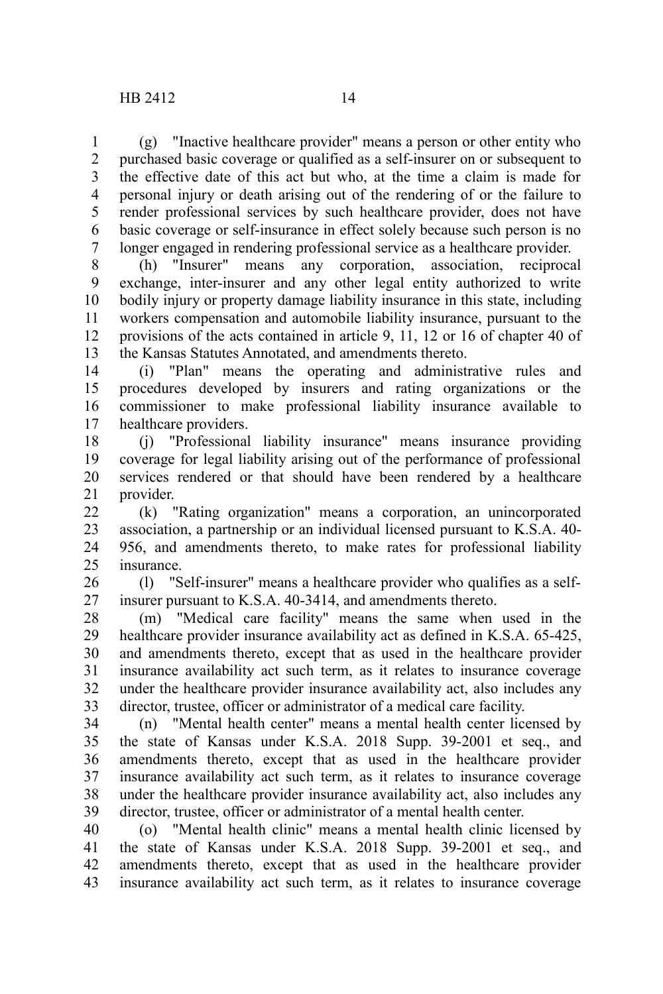(g) "Inactive healthcare provider" means a person or other entity who purchased basic coverage or qualified as a self-insurer on or subsequent to the effective date of this act but who, at the time a claim is made for personal injury or death arising out of the rendering of or the failure to render professional services by such healthcare provider, does not have basic coverage or self-insurance in effect solely because such person is no longer engaged in rendering professional service as a healthcare provider. 1 2 3 4 5 6 7

(h) "Insurer" means any corporation, association, reciprocal exchange, inter-insurer and any other legal entity authorized to write bodily injury or property damage liability insurance in this state, including workers compensation and automobile liability insurance, pursuant to the provisions of the acts contained in article 9, 11, 12 or 16 of chapter 40 of the Kansas Statutes Annotated, and amendments thereto. 8 9 10 11 12 13

(i) "Plan" means the operating and administrative rules and procedures developed by insurers and rating organizations or the commissioner to make professional liability insurance available to healthcare providers. 14 15 16 17

(j) "Professional liability insurance" means insurance providing coverage for legal liability arising out of the performance of professional services rendered or that should have been rendered by a healthcare provider. 18 19 20 21

(k) "Rating organization" means a corporation, an unincorporated association, a partnership or an individual licensed pursuant to K.S.A. 40- 956, and amendments thereto, to make rates for professional liability insurance. 22 23 24  $25$ 

(l) "Self-insurer" means a healthcare provider who qualifies as a selfinsurer pursuant to K.S.A. 40-3414, and amendments thereto. 26 27

(m) "Medical care facility" means the same when used in the healthcare provider insurance availability act as defined in K.S.A. 65-425, and amendments thereto, except that as used in the healthcare provider insurance availability act such term, as it relates to insurance coverage under the healthcare provider insurance availability act, also includes any director, trustee, officer or administrator of a medical care facility. 28 29 30 31 32 33

(n) "Mental health center" means a mental health center licensed by the state of Kansas under K.S.A. 2018 Supp. 39-2001 et seq., and amendments thereto, except that as used in the healthcare provider insurance availability act such term, as it relates to insurance coverage under the healthcare provider insurance availability act, also includes any director, trustee, officer or administrator of a mental health center. 34 35 36 37 38 39

(o) "Mental health clinic" means a mental health clinic licensed by the state of Kansas under K.S.A. 2018 Supp. 39-2001 et seq., and amendments thereto, except that as used in the healthcare provider insurance availability act such term, as it relates to insurance coverage 40 41 42 43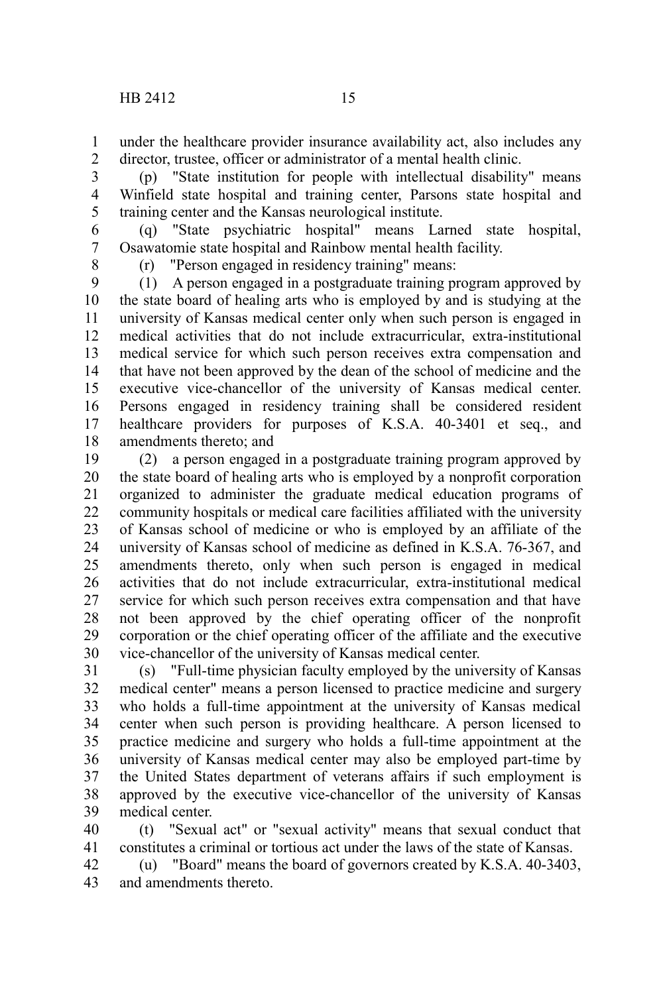under the healthcare provider insurance availability act, also includes any director, trustee, officer or administrator of a mental health clinic. 1 2

(p) "State institution for people with intellectual disability" means Winfield state hospital and training center, Parsons state hospital and training center and the Kansas neurological institute. 3 4 5

(q) "State psychiatric hospital" means Larned state hospital, Osawatomie state hospital and Rainbow mental health facility. 6 7

8

(r) "Person engaged in residency training" means:

(1) A person engaged in a postgraduate training program approved by the state board of healing arts who is employed by and is studying at the university of Kansas medical center only when such person is engaged in medical activities that do not include extracurricular, extra-institutional medical service for which such person receives extra compensation and that have not been approved by the dean of the school of medicine and the executive vice-chancellor of the university of Kansas medical center. Persons engaged in residency training shall be considered resident healthcare providers for purposes of K.S.A. 40-3401 et seq., and amendments thereto; and 9 10 11 12 13 14 15 16 17 18

(2) a person engaged in a postgraduate training program approved by the state board of healing arts who is employed by a nonprofit corporation organized to administer the graduate medical education programs of community hospitals or medical care facilities affiliated with the university of Kansas school of medicine or who is employed by an affiliate of the university of Kansas school of medicine as defined in K.S.A. 76-367, and amendments thereto, only when such person is engaged in medical activities that do not include extracurricular, extra-institutional medical service for which such person receives extra compensation and that have not been approved by the chief operating officer of the nonprofit corporation or the chief operating officer of the affiliate and the executive vice-chancellor of the university of Kansas medical center. 19 20 21 22 23 24 25 26 27 28 29 30

(s) "Full-time physician faculty employed by the university of Kansas medical center" means a person licensed to practice medicine and surgery who holds a full-time appointment at the university of Kansas medical center when such person is providing healthcare. A person licensed to practice medicine and surgery who holds a full-time appointment at the university of Kansas medical center may also be employed part-time by the United States department of veterans affairs if such employment is approved by the executive vice-chancellor of the university of Kansas medical center. 31 32 33 34 35 36 37 38 39

(t) "Sexual act" or "sexual activity" means that sexual conduct that constitutes a criminal or tortious act under the laws of the state of Kansas. 40 41

(u) "Board" means the board of governors created by K.S.A. 40-3403, and amendments thereto. 42 43